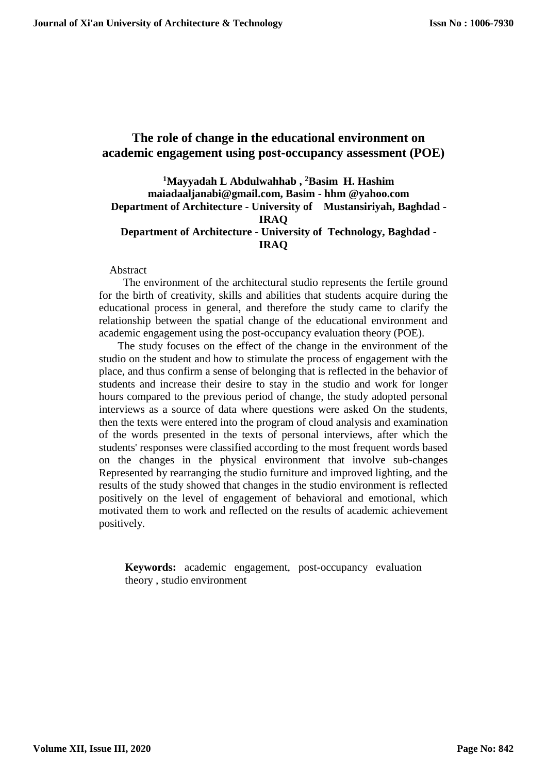# **The role of change in the educational environment on academic engagement using post-occupancy assessment (POE)**

## **<sup>1</sup>Mayyadah L Abdulwahhab , <sup>2</sup>Basim H. Hashim maiadaaljanabi@gmail.com, Basim - hhm @yahoo.com Department of Architecture - University of Mustansiriyah, Baghdad - IRAQ Department of Architecture - University of Technology, Baghdad - IRAQ**

#### Abstract

 The environment of the architectural studio represents the fertile ground for the birth of creativity, skills and abilities that students acquire during the educational process in general, and therefore the study came to clarify the relationship between the spatial change of the educational environment and academic engagement using the post-occupancy evaluation theory (POE).

 The study focuses on the effect of the change in the environment of the studio on the student and how to stimulate the process of engagement with the place, and thus confirm a sense of belonging that is reflected in the behavior of students and increase their desire to stay in the studio and work for longer hours compared to the previous period of change, the study adopted personal interviews as a source of data where questions were asked On the students, then the texts were entered into the program of cloud analysis and examination of the words presented in the texts of personal interviews, after which the students' responses were classified according to the most frequent words based on the changes in the physical environment that involve sub-changes Represented by rearranging the studio furniture and improved lighting, and the results of the study showed that changes in the studio environment is reflected positively on the level of engagement of behavioral and emotional, which motivated them to work and reflected on the results of academic achievement positively.

**Keywords:** academic engagement, post-occupancy evaluation theory , studio environment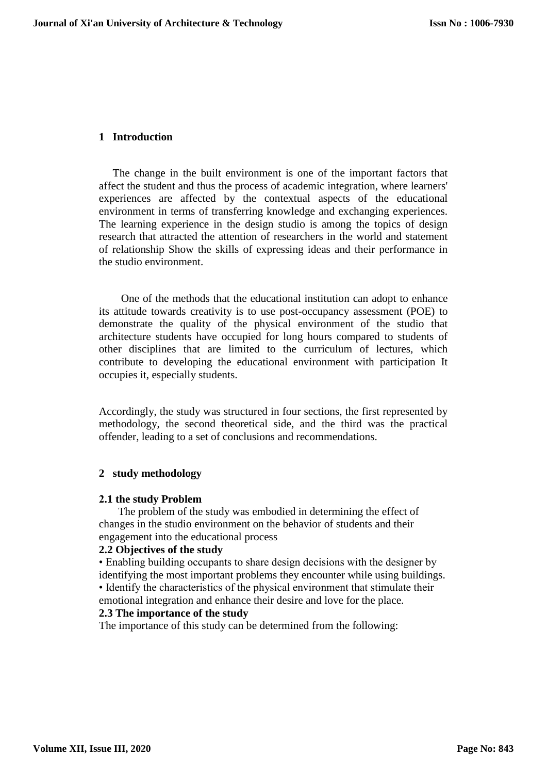## **1 Introduction**

 The change in the built environment is one of the important factors that affect the student and thus the process of academic integration, where learners' experiences are affected by the contextual aspects of the educational environment in terms of transferring knowledge and exchanging experiences. The learning experience in the design studio is among the topics of design research that attracted the attention of researchers in the world and statement of relationship Show the skills of expressing ideas and their performance in the studio environment.

 One of the methods that the educational institution can adopt to enhance its attitude towards creativity is to use post-occupancy assessment (POE) to demonstrate the quality of the physical environment of the studio that architecture students have occupied for long hours compared to students of other disciplines that are limited to the curriculum of lectures, which contribute to developing the educational environment with participation It occupies it, especially students.

Accordingly, the study was structured in four sections, the first represented by methodology, the second theoretical side, and the third was the practical offender, leading to a set of conclusions and recommendations.

#### **2 study methodology**

#### **2.1 the study Problem**

 The problem of the study was embodied in determining the effect of changes in the studio environment on the behavior of students and their engagement into the educational process

#### **2.2 Objectives of the study**

• Enabling building occupants to share design decisions with the designer by identifying the most important problems they encounter while using buildings.

• Identify the characteristics of the physical environment that stimulate their emotional integration and enhance their desire and love for the place.

## **2.3 The importance of the study**

The importance of this study can be determined from the following: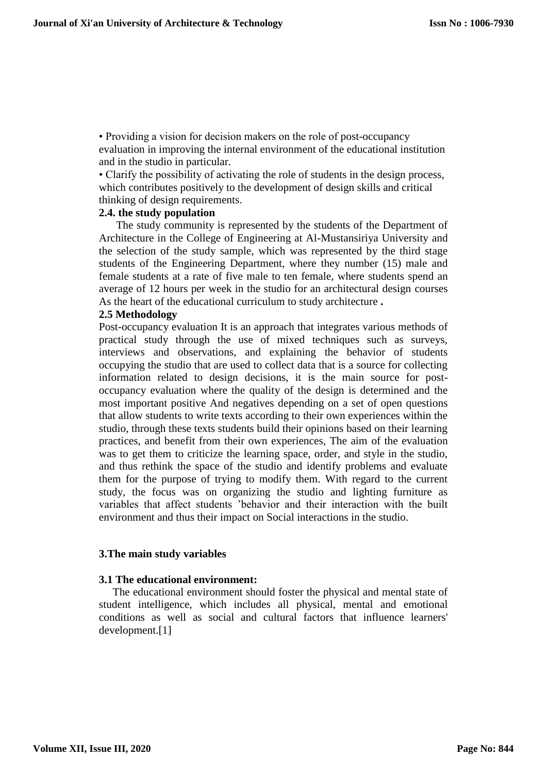• Providing a vision for decision makers on the role of post-occupancy evaluation in improving the internal environment of the educational institution and in the studio in particular.

• Clarify the possibility of activating the role of students in the design process, which contributes positively to the development of design skills and critical thinking of design requirements.

#### **2.4. the study population**

The study community is represented by the students of the Department of Architecture in the College of Engineering at Al-Mustansiriya University and the selection of the study sample, which was represented by the third stage students of the Engineering Department, where they number (15) male and female students at a rate of five male to ten female, where students spend an average of 12 hours per week in the studio for an architectural design courses As the heart of the educational curriculum to study architecture **.**

#### **2.5 Methodology**

Post-occupancy evaluation It is an approach that integrates various methods of practical study through the use of mixed techniques such as surveys, interviews and observations, and explaining the behavior of students occupying the studio that are used to collect data that is a source for collecting information related to design decisions, it is the main source for postoccupancy evaluation where the quality of the design is determined and the most important positive And negatives depending on a set of open questions that allow students to write texts according to their own experiences within the studio, through these texts students build their opinions based on their learning practices, and benefit from their own experiences, The aim of the evaluation was to get them to criticize the learning space, order, and style in the studio, and thus rethink the space of the studio and identify problems and evaluate them for the purpose of trying to modify them. With regard to the current study, the focus was on organizing the studio and lighting furniture as variables that affect students 'behavior and their interaction with the built environment and thus their impact on Social interactions in the studio.

#### **3.The main study variables**

## **3.1 The educational environment:**

 The educational environment should foster the physical and mental state of student intelligence, which includes all physical, mental and emotional conditions as well as social and cultural factors that influence learners' development.[1]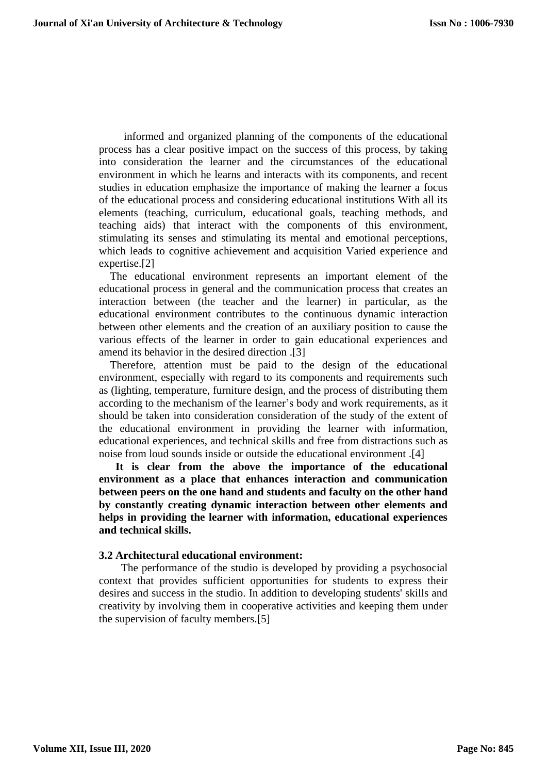informed and organized planning of the components of the educational process has a clear positive impact on the success of this process, by taking into consideration the learner and the circumstances of the educational environment in which he learns and interacts with its components, and recent studies in education emphasize the importance of making the learner a focus of the educational process and considering educational institutions With all its elements (teaching, curriculum, educational goals, teaching methods, and teaching aids) that interact with the components of this environment, stimulating its senses and stimulating its mental and emotional perceptions, which leads to cognitive achievement and acquisition Varied experience and expertise.[2]

 The educational environment represents an important element of the educational process in general and the communication process that creates an interaction between (the teacher and the learner) in particular, as the educational environment contributes to the continuous dynamic interaction between other elements and the creation of an auxiliary position to cause the various effects of the learner in order to gain educational experiences and amend its behavior in the desired direction .[3]

 Therefore, attention must be paid to the design of the educational environment, especially with regard to its components and requirements such as (lighting, temperature, furniture design, and the process of distributing them according to the mechanism of the learner's body and work requirements, as it should be taken into consideration consideration of the study of the extent of the educational environment in providing the learner with information, educational experiences, and technical skills and free from distractions such as noise from loud sounds inside or outside the educational environment .[4]

 **It is clear from the above the importance of the educational environment as a place that enhances interaction and communication between peers on the one hand and students and faculty on the other hand by constantly creating dynamic interaction between other elements and helps in providing the learner with information, educational experiences and technical skills.**

#### **3.2 Architectural educational environment:**

 The performance of the studio is developed by providing a psychosocial context that provides sufficient opportunities for students to express their desires and success in the studio. In addition to developing students' skills and creativity by involving them in cooperative activities and keeping them under the supervision of faculty members.[5]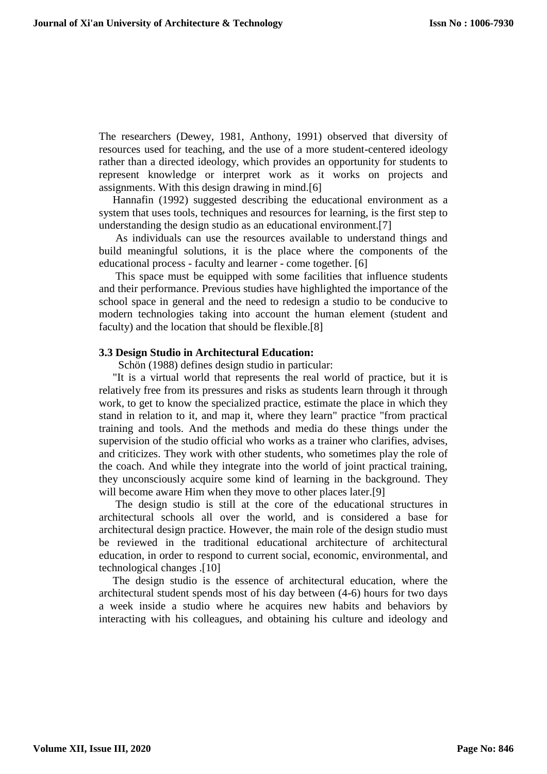The researchers (Dewey, 1981, Anthony, 1991) observed that diversity of resources used for teaching, and the use of a more student-centered ideology rather than a directed ideology, which provides an opportunity for students to represent knowledge or interpret work as it works on projects and assignments. With this design drawing in mind.[6]

 Hannafin (1992) suggested describing the educational environment as a system that uses tools, techniques and resources for learning, is the first step to understanding the design studio as an educational environment.[7]

 As individuals can use the resources available to understand things and build meaningful solutions, it is the place where the components of the educational process - faculty and learner - come together. [6]

 This space must be equipped with some facilities that influence students and their performance. Previous studies have highlighted the importance of the school space in general and the need to redesign a studio to be conducive to modern technologies taking into account the human element (student and faculty) and the location that should be flexible.[8]

#### **3.3 Design Studio in Architectural Education:**

Schön (1988) defines design studio in particular:

 "It is a virtual world that represents the real world of practice, but it is relatively free from its pressures and risks as students learn through it through work, to get to know the specialized practice, estimate the place in which they stand in relation to it, and map it, where they learn" practice "from practical training and tools. And the methods and media do these things under the supervision of the studio official who works as a trainer who clarifies, advises, and criticizes. They work with other students, who sometimes play the role of the coach. And while they integrate into the world of joint practical training, they unconsciously acquire some kind of learning in the background. They will become aware Him when they move to other places later.[9]

 The design studio is still at the core of the educational structures in architectural schools all over the world, and is considered a base for architectural design practice. However, the main role of the design studio must be reviewed in the traditional educational architecture of architectural education, in order to respond to current social, economic, environmental, and technological changes .[10]

 The design studio is the essence of architectural education, where the architectural student spends most of his day between (4-6) hours for two days a week inside a studio where he acquires new habits and behaviors by interacting with his colleagues, and obtaining his culture and ideology and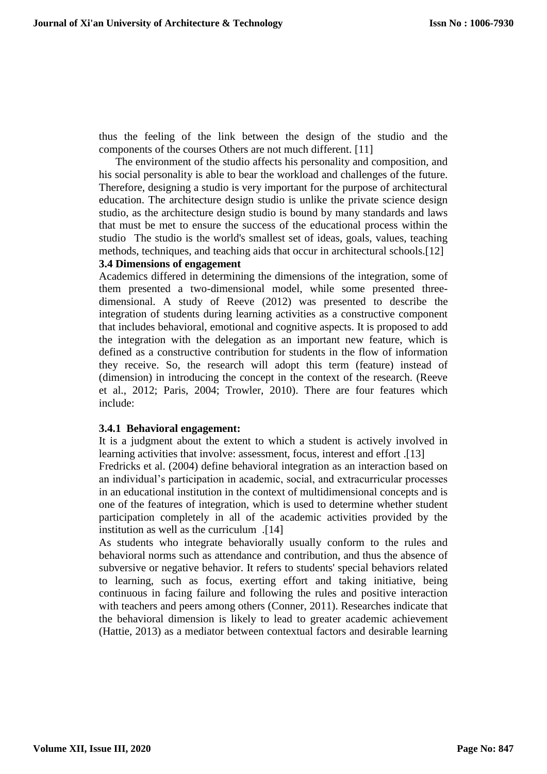thus the feeling of the link between the design of the studio and the components of the courses Others are not much different. [11]

 The environment of the studio affects his personality and composition, and his social personality is able to bear the workload and challenges of the future. Therefore, designing a studio is very important for the purpose of architectural education. The architecture design studio is unlike the private science design studio, as the architecture design studio is bound by many standards and laws that must be met to ensure the success of the educational process within the studio The studio is the world's smallest set of ideas, goals, values, teaching methods, techniques, and teaching aids that occur in architectural schools.[12] **3.4 Dimensions of engagement**

Academics differed in determining the dimensions of the integration, some of them presented a two-dimensional model, while some presented threedimensional. A study of Reeve (2012) was presented to describe the integration of students during learning activities as a constructive component that includes behavioral, emotional and cognitive aspects. It is proposed to add the integration with the delegation as an important new feature, which is defined as a constructive contribution for students in the flow of information they receive. So, the research will adopt this term (feature) instead of (dimension) in introducing the concept in the context of the research. (Reeve et al., 2012; Paris, 2004; Trowler, 2010). There are four features which include:

## **3.4.1 Behavioral engagement:**

It is a judgment about the extent to which a student is actively involved in learning activities that involve: assessment, focus, interest and effort .[13]

Fredricks et al. (2004) define behavioral integration as an interaction based on an individual's participation in academic, social, and extracurricular processes in an educational institution in the context of multidimensional concepts and is one of the features of integration, which is used to determine whether student participation completely in all of the academic activities provided by the institution as well as the curriculum .[14]

As students who integrate behaviorally usually conform to the rules and behavioral norms such as attendance and contribution, and thus the absence of subversive or negative behavior. It refers to students' special behaviors related to learning, such as focus, exerting effort and taking initiative, being continuous in facing failure and following the rules and positive interaction with teachers and peers among others (Conner, 2011). Researches indicate that the behavioral dimension is likely to lead to greater academic achievement (Hattie, 2013) as a mediator between contextual factors and desirable learning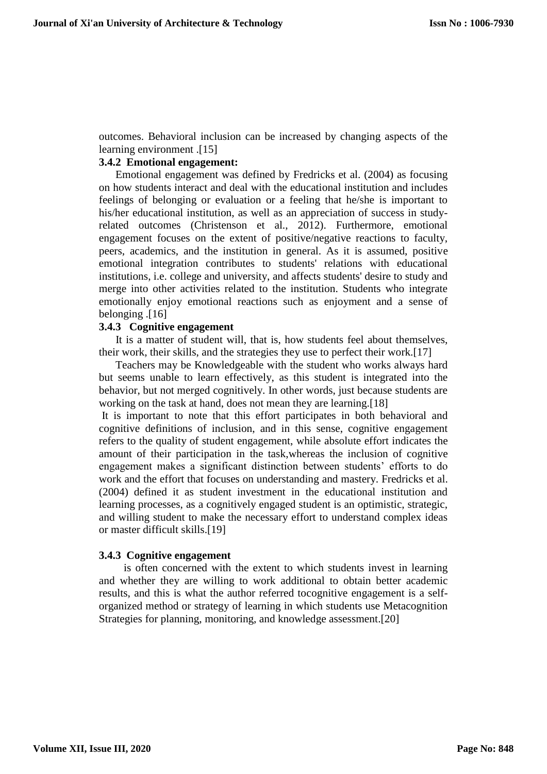outcomes. Behavioral inclusion can be increased by changing aspects of the learning environment .[15]

## **3.4.2 Emotional engagement:**

 Emotional engagement was defined by Fredricks et al. (2004) as focusing on how students interact and deal with the educational institution and includes feelings of belonging or evaluation or a feeling that he/she is important to his/her educational institution, as well as an appreciation of success in studyrelated outcomes (Christenson et al., 2012). Furthermore, emotional engagement focuses on the extent of positive/negative reactions to faculty, peers, academics, and the institution in general. As it is assumed, positive emotional integration contributes to students' relations with educational institutions, i.e. college and university, and affects students' desire to study and merge into other activities related to the institution. Students who integrate emotionally enjoy emotional reactions such as enjoyment and a sense of belonging .[16]

## **3.4.3 Cognitive engagement**

 It is a matter of student will, that is, how students feel about themselves, their work, their skills, and the strategies they use to perfect their work.[17]

 Teachers may be Knowledgeable with the student who works always hard but seems unable to learn effectively, as this student is integrated into the behavior, but not merged cognitively. In other words, just because students are working on the task at hand, does not mean they are learning.[18]

It is important to note that this effort participates in both behavioral and cognitive definitions of inclusion, and in this sense, cognitive engagement refers to the quality of student engagement, while absolute effort indicates the amount of their participation in the task,whereas the inclusion of cognitive engagement makes a significant distinction between students' efforts to do work and the effort that focuses on understanding and mastery. Fredricks et al. (2004) defined it as student investment in the educational institution and learning processes, as a cognitively engaged student is an optimistic, strategic, and willing student to make the necessary effort to understand complex ideas or master difficult skills.[19]

#### **3.4.3 Cognitive engagement**

 is often concerned with the extent to which students invest in learning and whether they are willing to work additional to obtain better academic results, and this is what the author referred tocognitive engagement is a selforganized method or strategy of learning in which students use Metacognition Strategies for planning, monitoring, and knowledge assessment.[20]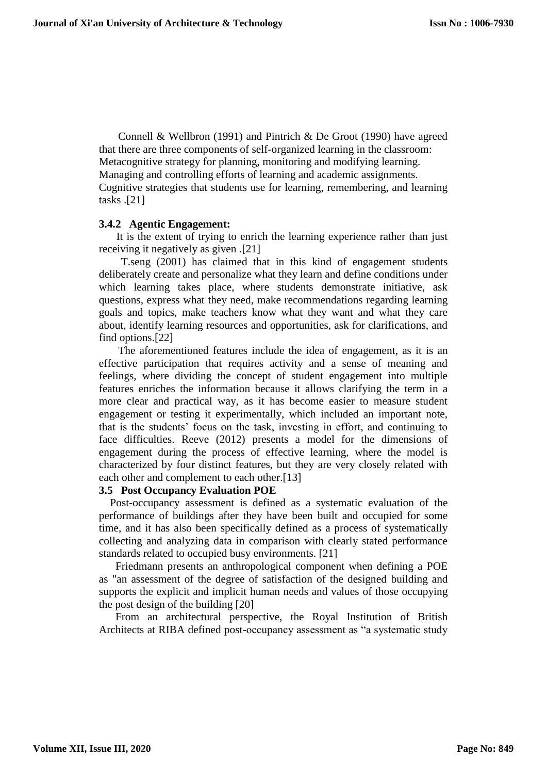Connell & Wellbron (1991) and Pintrich & De Groot (1990) have agreed that there are three components of self-organized learning in the classroom: Metacognitive strategy for planning, monitoring and modifying learning. Managing and controlling efforts of learning and academic assignments. Cognitive strategies that students use for learning, remembering, and learning tasks .[21]

### **3.4.2 Agentic Engagement:**

 It is the extent of trying to enrich the learning experience rather than just receiving it negatively as given .[21]

 T.seng (2001) has claimed that in this kind of engagement students deliberately create and personalize what they learn and define conditions under which learning takes place, where students demonstrate initiative, ask questions, express what they need, make recommendations regarding learning goals and topics, make teachers know what they want and what they care about, identify learning resources and opportunities, ask for clarifications, and find options.[22]

 The aforementioned features include the idea of engagement, as it is an effective participation that requires activity and a sense of meaning and feelings, where dividing the concept of student engagement into multiple features enriches the information because it allows clarifying the term in a more clear and practical way, as it has become easier to measure student engagement or testing it experimentally, which included an important note, that is the students' focus on the task, investing in effort, and continuing to face difficulties. Reeve (2012) presents a model for the dimensions of engagement during the process of effective learning, where the model is characterized by four distinct features, but they are very closely related with each other and complement to each other.[13]

### **3.5 Post Occupancy Evaluation POE**

 Post-occupancy assessment is defined as a systematic evaluation of the performance of buildings after they have been built and occupied for some time, and it has also been specifically defined as a process of systematically collecting and analyzing data in comparison with clearly stated performance standards related to occupied busy environments. [21]

 Friedmann presents an anthropological component when defining a POE as "an assessment of the degree of satisfaction of the designed building and supports the explicit and implicit human needs and values of those occupying the post design of the building [20]

 From an architectural perspective, the Royal Institution of British Architects at RIBA defined post-occupancy assessment as "a systematic study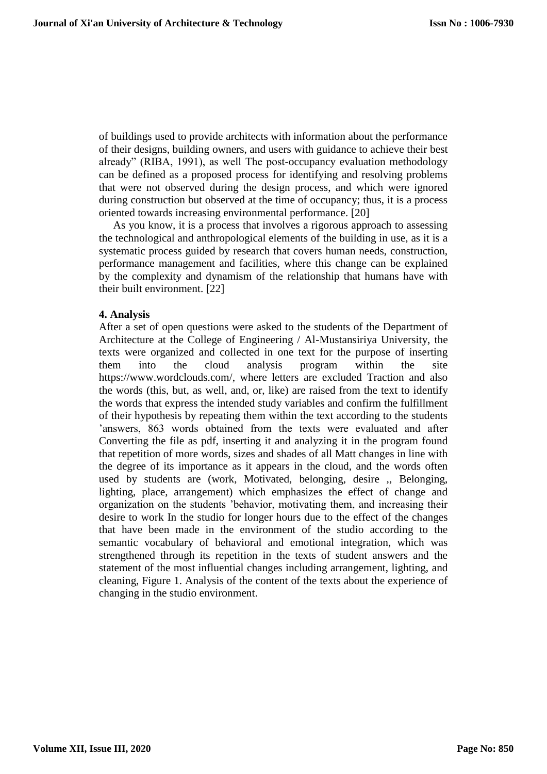of buildings used to provide architects with information about the performance of their designs, building owners, and users with guidance to achieve their best already" (RIBA, 1991), as well The post-occupancy evaluation methodology can be defined as a proposed process for identifying and resolving problems that were not observed during the design process, and which were ignored during construction but observed at the time of occupancy; thus, it is a process oriented towards increasing environmental performance. [20]

 As you know, it is a process that involves a rigorous approach to assessing the technological and anthropological elements of the building in use, as it is a systematic process guided by research that covers human needs, construction, performance management and facilities, where this change can be explained by the complexity and dynamism of the relationship that humans have with their built environment. [22]

#### **4. Analysis**

After a set of open questions were asked to the students of the Department of Architecture at the College of Engineering / Al-Mustansiriya University, the texts were organized and collected in one text for the purpose of inserting them into the cloud analysis program within the site https://www.wordclouds.com/, where letters are excluded Traction and also the words (this, but, as well, and, or, like) are raised from the text to identify the words that express the intended study variables and confirm the fulfillment of their hypothesis by repeating them within the text according to the students 'answers, 863 words obtained from the texts were evaluated and after Converting the file as pdf, inserting it and analyzing it in the program found that repetition of more words, sizes and shades of all Matt changes in line with the degree of its importance as it appears in the cloud, and the words often used by students are (work, Motivated, belonging, desire ,, Belonging, lighting, place, arrangement) which emphasizes the effect of change and organization on the students 'behavior, motivating them, and increasing their desire to work In the studio for longer hours due to the effect of the changes that have been made in the environment of the studio according to the semantic vocabulary of behavioral and emotional integration, which was strengthened through its repetition in the texts of student answers and the statement of the most influential changes including arrangement, lighting, and cleaning, Figure 1. Analysis of the content of the texts about the experience of changing in the studio environment.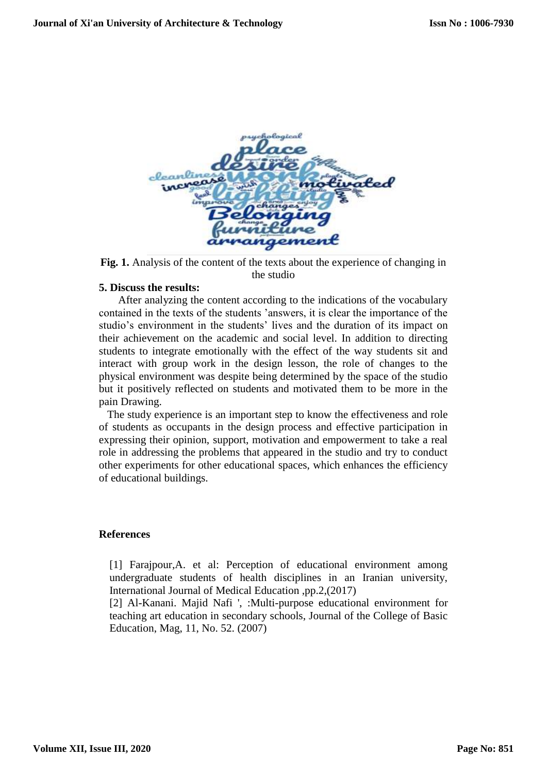

**Fig. 1.** Analysis of the content of the texts about the experience of changing in the studio

### **5. Discuss the results:**

 After analyzing the content according to the indications of the vocabulary contained in the texts of the students 'answers, it is clear the importance of the studio's environment in the students' lives and the duration of its impact on their achievement on the academic and social level. In addition to directing students to integrate emotionally with the effect of the way students sit and interact with group work in the design lesson, the role of changes to the physical environment was despite being determined by the space of the studio but it positively reflected on students and motivated them to be more in the pain Drawing.

 The study experience is an important step to know the effectiveness and role of students as occupants in the design process and effective participation in expressing their opinion, support, motivation and empowerment to take a real role in addressing the problems that appeared in the studio and try to conduct other experiments for other educational spaces, which enhances the efficiency of educational buildings.

#### **References**

[1] Farajpour,A. et al: Perception of educational environment among undergraduate students of health disciplines in an Iranian university, International Journal of Medical Education ,pp.2,(2017)

[2] Al-Kanani. Majid Nafi ', :Multi-purpose educational environment for teaching art education in secondary schools, Journal of the College of Basic Education, Mag, 11, No. 52. (2007)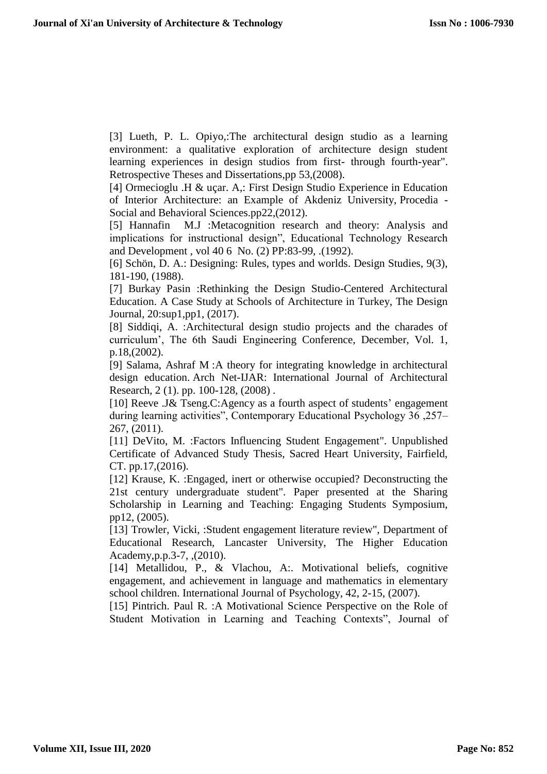[3] Lueth, P. L. Opiyo,:The architectural design studio as a learning environment: a qualitative exploration of architecture design student learning experiences in design studios from first- through fourth-year". Retrospective Theses and Dissertations,pp 53,(2008).

[4] Ormecioglu .H & uçar. A,: First Design Studio Experience in Education of Interior Architecture: an Example of Akdeniz University, Procedia - Social and Behavioral Sciences.pp22,(2012).

[5] Hannafin M.J :Metacognition research and theory: Analysis and implications for instructional design", Educational Technology Research and Development , vol 40 6 No. (2) PP:83-99, .(1992).

[6] Schön, D. A.: Designing: Rules, types and worlds. Design Studies, 9(3), 181-190, (1988).

[7] Burkay Pasin :Rethinking the Design Studio-Centered Architectural Education. A Case Study at Schools of Architecture in Turkey, The Design Journal, 20:sup1,pp1, (2017).

[8] Siddiqi, A. :Architectural design studio projects and the charades of curriculum', The 6th Saudi Engineering Conference, December, Vol. 1, p.18,(2002).

[9] Salama, Ashraf M :A theory for integrating knowledge in architectural design education. Arch Net-IJAR: International Journal of Architectural Research, 2 (1). pp. 100-128, [\(2008\)](https://strathprints.strath.ac.uk/view/year/2008.html) .

[10] Reeve .J& Tseng.C:Agency as a fourth aspect of students' engagement during learning activities", Contemporary Educational Psychology 36 ,257– 267, (2011).

[11] DeVito, M. :Factors Influencing Student Engagement". Unpublished Certificate of Advanced Study Thesis, Sacred Heart University, Fairfield, CT. pp.17,(2016).

[12] Krause, K. : Engaged, inert or otherwise occupied? Deconstructing the 21st century undergraduate student". Paper presented at the Sharing Scholarship in Learning and Teaching: Engaging Students Symposium, pp12, (2005).

[13] Trowler, Vicki, :Student engagement literature review", Department of Educational Research, Lancaster University, The Higher Education Academy,p.p.3-7, ,(2010).

[14] Metallidou, P., & Vlachou, A:. Motivational beliefs, cognitive engagement, and achievement in language and mathematics in elementary school children. International Journal of Psychology, 42, 2-15, (2007).

[15] Pintrich. Paul R. : A Motivational Science Perspective on the Role of Student Motivation in Learning and Teaching Contexts", Journal of